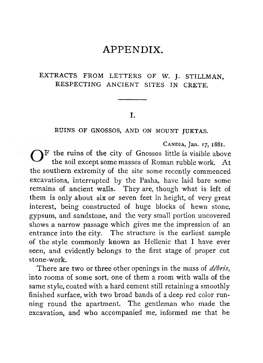## APPENDIX.

## EXTRACTS FROM LETTERS OF W. J. STILLMAN, RESPECTING ANCIENT SITES IN CRETE.

## I.

**RUINS OF GNOSSOS, AND ON MOUNT JUKTAS.**

**Candia, Jan. 17, 1881.**

 $\bigcap$  F the ruins of the city of Gnossos little is visible above the soil except some masses of Roman rubble work. A t the southern extremity of the site some recently commenced excavations, interrupted by the Pasha, have laid bare some remains of ancient walls. They are, though what is left of them is only about six or seven feet in height, of very great interest, being constructed of huge blocks of hewn stone, gypsum, and sandstone, and the very small portion uncovered shows a narrow passage which gives me the impression of an entrance into the city. The structure is the earliest sample of the style commonly known as Hellenic that I have ever seen, and evidently belongs to the first stage of proper cut stone-work.

There are two or three other openings in the mass of *débris*, into rooms of some sort, one of them a room with walls of the same style, coated with a hard cement still retaining a smoothly finished surface, with two broad bands of a deep red color running round the apartment. The gentleman who made the excavation, and who accompanied me, informed me that he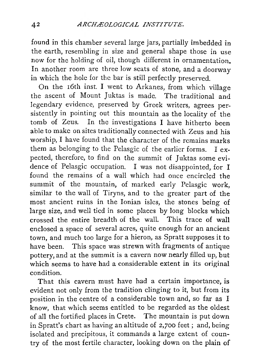found in this chamber several large jars, partially imbedded in the earth, resembling in size and general shape those in use now for the holding of oil, though different in ornamentation. In another room are three low seats of stone, and a doorway in which the hole for the bar is still perfectly preserved.

On the 16th inst. I went to Arkanes, from which village the ascent of Mount Juktas is made. The traditional and legendary evidence, preserved by Greek writers, agrees persistently in pointing out this mountain as the locality of the tomb of Zeus. In the investigations I have hitherto been able to make on sites traditionally connected with Zeus and his worship, I have found that the character of the remains marks them as belonging to the Pelasgic of the earlier forms. I expected, therefore, to find on the summit of Juktas some evidence of Pelasgic occupation. I was not disappointed, for I found the remains of a wall which had once encircled the summit of the mountain, of marked early Pelasgic work, similar to the wall of Tiryns, and to the greater part of the most ancient ruins in the Ionian isles, the stones being of large size, and well tied in some places by long blocks which crossed the entire breadth of the wall. This trace of wall enclosed a space of several acres, quite enough for an ancient town, and much too large for a hieron, as Spratt supposes it to have been. This space was strewn with fragments of antique pottery, and at the summit is a cavern now nearly filled up, but which seems to have had a considerable extent in its original condition.

That this cavern must have had a certain importance, is evident not only from the tradition clinging to it, but from its position in the centre of a considerable town and, so far as I know, that which seems entitled to be regarded as the oldest of all the fortified places in Crete. The mountain is put down in Spratt's chart as having an altitude of 2,700 feet ; and, being isolated and precipitous, it commands a large extent of country of the most fertile character, looking down on the plain of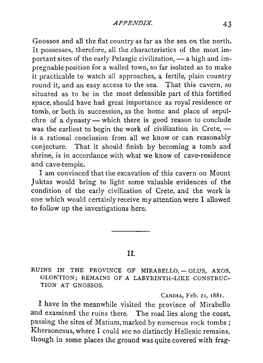Gnossos and all the flat country as far as the sea on the north. It possesses, therefore, all the characteristics of the most important sites of the early Pelasgic civilization, — a high and impregnable position for a walled town, so far isolated as to make it practicable to watch all approaches, a fertile, plain country round it, and an easy access to the sea. That this cavern, so situated as to be in the most defensible part of this fortified space, should have had great importance' as royal residence or tomb, or both in succession, as the home and place of sepulchre of a dynasty — which there is good reason to conclude was the earliest to begin the work of civilization in Crete, is a rational conclusion from all we know or can reasonably conjecture. That it should finish by becoming a tomb and shrine, is in accordance with what we know of cave-residence and cave-temple.

I am convinced that the excavation of this cavern on Mount Juktas would bring to light some valuable evidences of the condition of the early civilization of Crete, and the work is one which would certainly receive my attention were I allowed to follow up the investigations here.

## II.

**RUINS IN THE PROVINCE OF MIRABELLO, — OLUS, AXOS, OLONTION ; REMAINS OF A LABYRINTH-LIKE CONSTRUC-TION AT GNOSSOS.**

**Candia, Feb. 21, 1881.**

I have in the meanwhile visited the province of Mirabello and examined the ruins there. The road lies along the coast, passing the sites of Matium, marked by numerous rock tombs ; Khersonesus, where I could see no distinctly Hellenic remains, though in some places the ground was quite covered with frag-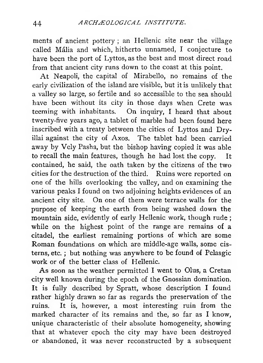ments of ancient pottery ; an Hellenic site near the village called Mâlia and which, hitherto unnamed, I conjecture to have been the port of Lyttos, as the best and most direct road from that ancient city runs down to the coast at this point.

At Neapoli, the capital of Mirabello, no remains of the early civilization of the island are visible, but it is unlikely that a valley so large, so fertile and so accessible to the sea should have been without its city in those days when Crete was teeming with inhabitants. On inquiry, I heard that about twenty-five years ago, a tablet of marble had been found here inscribed with a treaty between the cities of Lyttos and Dryillai against the city of Axos. The tablet had been carried away by Vely Pasha, but the bishop having copied it was able to recall the main features, though he had lost the copy. It contained, he said, the oath taken by the citizens of the two cities for the destruction of the third. Ruins were reported on one of the hills overlooking the valley, and on examining the various peaks I found on two adjoining heights evidences of an ancient city site. On one of them were terrace walls for the purpose of keeping the earth from being washed down the mountain side, evidently of early Hellenic work, though rude ; while on the highest point of the range are remains of a citadel, the earliest remaining portions of which are some Roman foundations on which are middle-age walls, some cisterns, etc. ; but nothing was anywhere to be found of Pelasgic work or of the better class of Hellenic.

As soon as the weather permitted I went to Olus, a Cretan city well known during the epoch of the Gnossian domination. It is fully described by Spratt, whose description I found rather highly drawn so far as regards the preservation of the ruins. It is, however, a most interesting ruin from the marked character of its remains and the, so far as I know, unique characteristic of their absolute homogeneity, showing that at whatever epoch the city may have been destroyed or abandoned, it was never reconstructed by a subsequent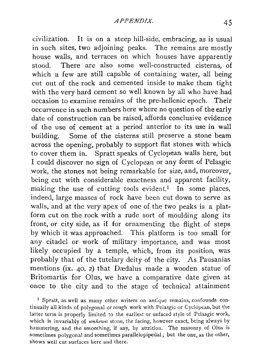civilization. It is on a steep hill-side, embracing, as is usual in such sites, two adjoining peaks. The remains are mostly house walls, and terraces on which houses have apparently stood. There are also some well-constructed cisterns, of which a few are still capable of containing water, all being cut out of the rock and cemented inside to make them tight with the very hard cement so well known by all who have had occasion to examine remains of the pre-hellenic epoch. Their occurrence in such numbers here where no question of the early date of construction can be raised, affords conclusive evidence of the use of cement at a period anterior to its use in wall building. Some of the cisterns still preserve a stone beam across the opening, probably to support flat stones with which to cover them in. Spratt speaks of Cyclopean walls here, but I could discover no sign of Cyclopean or any form of Pelasgic work, the stones not being remarkable for size, and, moreover, being cut with considerable exactness and apparent facility, making the use of cutting tools evident.<sup>1</sup> In some places, indeed, large masses of rock have been cut down to serve as walls, and at the very apex of one of the two peaks is a platform cut on the rock with a rude sort of moulding along its front, or city side, as if for ornamenting the flight of steps by which it was approached. This platform is too small for any citadel or work of military importance, and was most likely occupied by a temple, which, from its position, was probably that of the tutelary deity of the city. As Pausanias mentions (ix. 40, 2) that Dædalus made a wooden statue of Britomartis for Olus, we have a comparative date given at once to the city and to the stage of technical attainment

1 Spratt, as well as many other writers on antique remains, confounds continually all kinds of. polygonal or rough work with Pelasgic or Cyclopean, but the latter term is properly limited to the earliest or unfaced style of Pelasgic work, which is invariably of *unhewn* stone, the facing, however exact, being always by hammering, and the smoothing, if any, by attrition. The masonry of Olus is sometimes polygonal and sometimes parallelopipedal ; but the one, as the other, shows well cut surfaces here and there.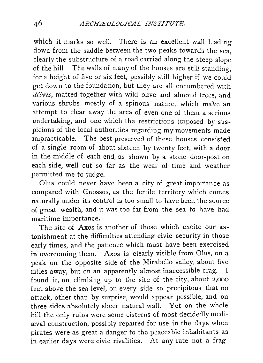which it marks so well. There is an excellent wall leading down from the saddle between the two peaks towards the sea, clearly the substructure of a road carried along the steep slope of the hill. The walls of many of the houses are still standing, for a height of five or six feet, possibly still higher if we could get down to the foundation, but they are all encumbered with *débris,* matted together with wild olive and almond trees, and various shrubs mostly of a spinous nature, which make an attempt to clear away the area of even one of them a serious undertaking, and one which the restrictions imposed by suspicions of the local authorities regarding my movements made impracticable. The best preserved of these houses consisted of a single room of about sixteen by twenty feet, with a door in the middle of each end, as shown by a stone door-post on each side, well cut so far as the wear of time and weather permitted me to judge.

Olus could never have been a city of great importance as compared with Gnossos, as the fertile territory which comes naturally under its control is too small to have been the source of great wealth, and it was too far from the sea to have had maritime importance.

The site of Axos is another of those which excite our astonishment at the difficulties attending civic security in those early times, and the patience which must have been exercised in overcoming them. Axos is clearly visible from Olus, on a peak on the opposite side of the Mirabello valley, about five miles away, but on an apparently almost inaccessible crag. I found it, on climbing up to the site of the city, about 2,000 feet above the sea level, on every side so precipitous that no attack, other than by surprise, would appear possible, and on three sides absolutely sheer natural wall. Yet on the whole hill the only ruins were some cisterns of most decidedly mediaeval construction, possibly repaired for use in the days when pirates were as great a danger to the peaceable inhabitants as in earlier days were civic rivalities. At any rate not a frag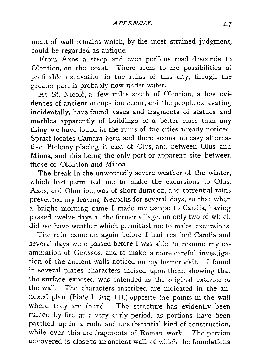ment of wall remains which, by the most strained judgment, could be regarded as antique.

From Axos a steep and even perilous road descends to Olontion, on the coast. There seem to me possibilities of profitable excavation in the ruins of this city, though the greater part is probably now under water.

At St. Nicolò, a few miles south of Olontion, a few evidences of ancient occupation occur, and the people excavating incidentally, have found vases and fragments of statues and marbles apparently of buildings of a better class than any thing we have found in the ruins of the cities already noticed. Spratt locates Camara here, and there seems no easy alternative, Ptolemy placing it east of Olus, and between Olus and Minoa, and this being the only port or apparent site between those of Olontion and Minoa.

The break in the unwontedly severe weather of the winter, which had permitted me to make the excursions to Olus, Axos, and Olontion, was of short duration, and torrential rains prevented my leaving Neapolis for several days, so that when a bright morning came I made my escape to Candia, having passed twelve days at the former village, on only two of which did we have weather which permitted me to make excursions.

The rain came on again before I had reached Candia and several days were passed before I was able to resume my examination of Gnossos, and to make a more careful investigation of the ancient walls noticed on my former visit. I found in several places characters incised upon them, showing that the surface exposed was intended as the original exterior of the wall. The characters inscribed are indicated in the annexed plan (Plate I. Fig. III.) opposite the points in the wall where they are found. The structure has evidently been ruined by fire at a very early period, as portions have been patched up in a rude and unsubstantial kind of construction, while over this are fragments of Roman work. The portion uncovered is close to an ancient wall, of which the foundations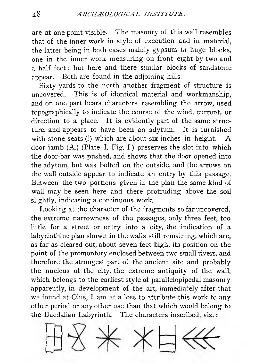are at one point visible. The masonry of this wall resembles that of the inner work in style of execution and in material, the latter being in both cases mainly gypsum in huge blocks, one in the inner work measuring on front eight by two and a half feet ; but here and there similar blocks of sandstone appear. Both are found in the adjoining hills.

Sixty yards to the north another fragment of structure is uncovered. This is of identical material and workmanship, and on one part bears characters resembling the arrow, used topographically to indicate the course of the wind, current, or direction to a place. It is evidently part of the same structure, and appears to have been an adytum. It is furnished with stone seats (?) which are about six inches in height. A door jamb (A.) (Plate I. Fig. I.) preserves the slot into which the door-bar was pushed, and shows that the door opened into the adytum, but was bolted on the outside, and the arrows on the wall outside appear to indicate an entry by this passage. Between the two portions given in the plan the same kind of wall may be seen here and there protruding above the soil slightly, indicating a continuous work.

Looking at the character of the fragments so far uncovered, the extreme narrowness of the passages, only three feet, too little for a street or entry into a city, the indication of a labyrinthine plan shown in the walls still remaining, which are, as far as cleared out, about seven feet high, its position on the point of the promontory enclosed between two small rivers, and therefore the strongest part of the ancient site and probably the nucleus of the city, the extreme antiquity of the wall, which belongs to the earliest style of parallelopipedal masonry apparently, in development of the art, immediately after that we found at Olus, I am at a loss to attribute this work to any other period or any other use than that which would belong to the Daedalian Labyrinth. The characters inscribed, viz. :

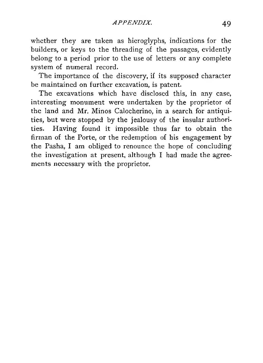whether they are taken as hieroglyphs, indications for the builders, or keys to the threading of the passages, evidently belong to a period prior to the use of letters or any complete system of numeral record.

The importance of the discovery, if its supposed character be maintained on further excavation, is patent.

The excavations which have disclosed this, in any case, interesting monument were undertaken by the proprietor of the land and Mr. Minos Calocherino, in a search for antiquities, but were stopped by the jealousy of the insular authorities. Having found it impossible thus far to obtain the firman of the Porte, or the redemption of his engagement by the Pasha, I am obliged to renounce the hope of concluding the investigation at present, although I had made the agreements necessary with the proprietor.